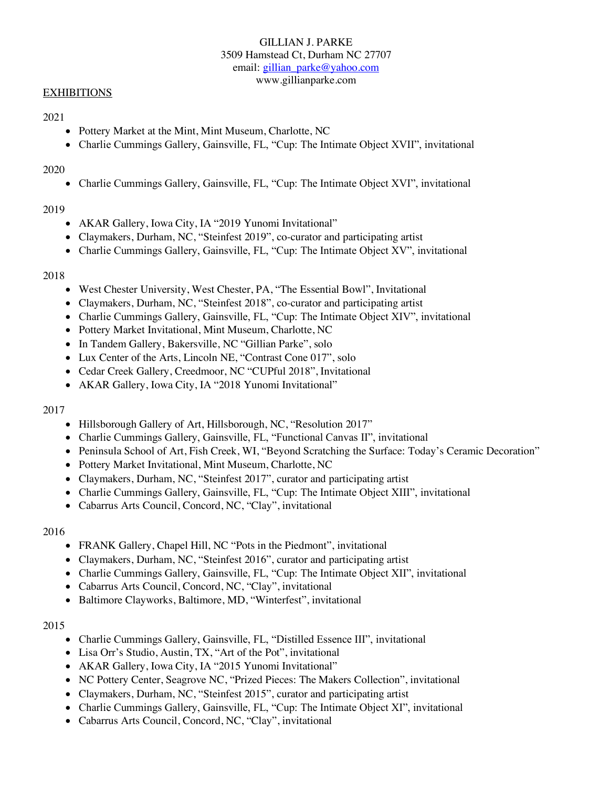# GILLIAN J. PARKE 3509 Hamstead Ct, Durham NC 27707 email: gillian\_parke@yahoo.com www.gillianparke.com

# **EXHIBITIONS**

# 2021

- Pottery Market at the Mint, Mint Museum, Charlotte, NC
- Charlie Cummings Gallery, Gainsville, FL, "Cup: The Intimate Object XVII", invitational

#### 2020

• Charlie Cummings Gallery, Gainsville, FL, "Cup: The Intimate Object XVI", invitational

## 2019

- AKAR Gallery, Iowa City, IA "2019 Yunomi Invitational"
- Claymakers, Durham, NC, "Steinfest 2019", co-curator and participating artist
- Charlie Cummings Gallery, Gainsville, FL, "Cup: The Intimate Object XV", invitational

## 2018

- West Chester University, West Chester, PA, "The Essential Bowl", Invitational
- Claymakers, Durham, NC, "Steinfest 2018", co-curator and participating artist
- Charlie Cummings Gallery, Gainsville, FL, "Cup: The Intimate Object XIV", invitational
- Pottery Market Invitational, Mint Museum, Charlotte, NC
- In Tandem Gallery, Bakersville, NC "Gillian Parke", solo
- Lux Center of the Arts, Lincoln NE, "Contrast Cone 017", solo
- Cedar Creek Gallery, Creedmoor, NC "CUPful 2018", Invitational
- AKAR Gallery, Iowa City, IA "2018 Yunomi Invitational"

## 2017

- Hillsborough Gallery of Art, Hillsborough, NC, "Resolution 2017"
- Charlie Cummings Gallery, Gainsville, FL, "Functional Canvas II", invitational
- Peninsula School of Art, Fish Creek, WI, "Beyond Scratching the Surface: Today's Ceramic Decoration"
- Pottery Market Invitational, Mint Museum, Charlotte, NC
- Claymakers, Durham, NC, "Steinfest 2017", curator and participating artist
- Charlie Cummings Gallery, Gainsville, FL, "Cup: The Intimate Object XIII", invitational
- Cabarrus Arts Council, Concord, NC, "Clay", invitational

## 2016

- FRANK Gallery, Chapel Hill, NC "Pots in the Piedmont", invitational
- Claymakers, Durham, NC, "Steinfest 2016", curator and participating artist
- Charlie Cummings Gallery, Gainsville, FL, "Cup: The Intimate Object XII", invitational
- Cabarrus Arts Council, Concord, NC, "Clay", invitational
- Baltimore Clayworks, Baltimore, MD, "Winterfest", invitational

## 2015

- Charlie Cummings Gallery, Gainsville, FL, "Distilled Essence III", invitational
- Lisa Orr's Studio, Austin, TX, "Art of the Pot", invitational
- AKAR Gallery, Iowa City, IA "2015 Yunomi Invitational"
- NC Pottery Center, Seagrove NC, "Prized Pieces: The Makers Collection", invitational
- Claymakers, Durham, NC, "Steinfest 2015", curator and participating artist
- Charlie Cummings Gallery, Gainsville, FL, "Cup: The Intimate Object XI", invitational
- Cabarrus Arts Council, Concord, NC, "Clay", invitational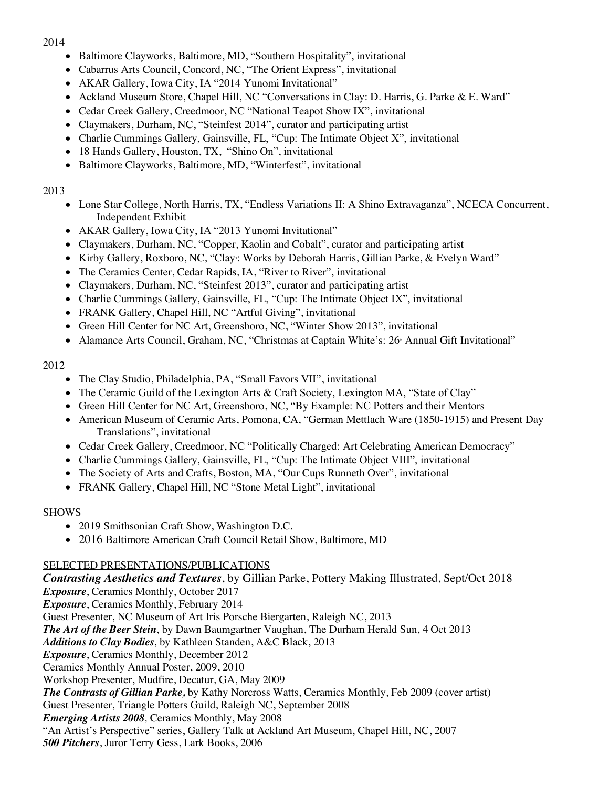# 2014

- Baltimore Clayworks, Baltimore, MD, "Southern Hospitality", invitational
- Cabarrus Arts Council, Concord, NC, "The Orient Express", invitational
- AKAR Gallery, Iowa City, IA "2014 Yunomi Invitational"
- Ackland Museum Store, Chapel Hill, NC "Conversations in Clay: D. Harris, G. Parke & E. Ward"
- Cedar Creek Gallery, Creedmoor, NC "National Teapot Show IX", invitational
- Claymakers, Durham, NC, "Steinfest 2014", curator and participating artist
- Charlie Cummings Gallery, Gainsville, FL, "Cup: The Intimate Object X", invitational
- 18 Hands Gallery, Houston, TX, "Shino On", invitational
- Baltimore Clayworks, Baltimore, MD, "Winterfest", invitational

# 2013

- Lone Star College, North Harris, TX, "Endless Variations II: A Shino Extravaganza", NCECA Concurrent, Independent Exhibit
- AKAR Gallery, Iowa City, IA "2013 Yunomi Invitational"
- Claymakers, Durham, NC, "Copper, Kaolin and Cobalt", curator and participating artist
- Kirby Gallery, Roxboro, NC, "Clay: Works by Deborah Harris, Gillian Parke, & Evelyn Ward"
- The Ceramics Center, Cedar Rapids, IA, "River to River", invitational
- Claymakers, Durham, NC, "Steinfest 2013", curator and participating artist
- Charlie Cummings Gallery, Gainsville, FL, "Cup: The Intimate Object IX", invitational
- FRANK Gallery, Chapel Hill, NC "Artful Giving", invitational
- Green Hill Center for NC Art, Greensboro, NC, "Winter Show 2013", invitational
- Alamance Arts Council, Graham, NC, "Christmas at Captain White's: 26<sup>th</sup> Annual Gift Invitational"

# 2012

- The Clay Studio, Philadelphia, PA, "Small Favors VII", invitational
- The Ceramic Guild of the Lexington Arts & Craft Society, Lexington MA, "State of Clay"
- Green Hill Center for NC Art, Greensboro, NC, "By Example: NC Potters and their Mentors
- American Museum of Ceramic Arts, Pomona, CA, "German Mettlach Ware (1850-1915) and Present Day Translations", invitational
- Cedar Creek Gallery, Creedmoor, NC "Politically Charged: Art Celebrating American Democracy"
- Charlie Cummings Gallery, Gainsville, FL, "Cup: The Intimate Object VIII", invitational
- The Society of Arts and Crafts, Boston, MA, "Our Cups Runneth Over", invitational
- FRANK Gallery, Chapel Hill, NC "Stone Metal Light", invitational

# SHOWS

- 2019 Smithsonian Craft Show, Washington D.C.
- 2016 Baltimore American Craft Council Retail Show, Baltimore, MD

# SELECTED PRESENTATIONS/PUBLICATIONS

*Contrasting Aesthetics and Textures*, by Gillian Parke, Pottery Making Illustrated, Sept/Oct 2018 *Exposure*, Ceramics Monthly, October 2017 *Exposure*, Ceramics Monthly, February 2014 Guest Presenter, NC Museum of Art Iris Porsche Biergarten, Raleigh NC, 2013 *The Art of the Beer Stein*, by Dawn Baumgartner Vaughan, The Durham Herald Sun, 4 Oct 2013 *Additions to Clay Bodies*, by Kathleen Standen, A&C Black, 2013 *Exposure*, Ceramics Monthly, December 2012 Ceramics Monthly Annual Poster, 2009, 2010 Workshop Presenter, Mudfire, Decatur, GA, May 2009 *The Contrasts of Gillian Parke,* by Kathy Norcross Watts, Ceramics Monthly, Feb 2009 (cover artist) Guest Presenter, Triangle Potters Guild, Raleigh NC, September 2008 *Emerging Artists 2008,* Ceramics Monthly, May 2008 "An Artist's Perspective" series, Gallery Talk at Ackland Art Museum, Chapel Hill, NC, 2007 *500 Pitchers*, Juror Terry Gess, Lark Books, 2006